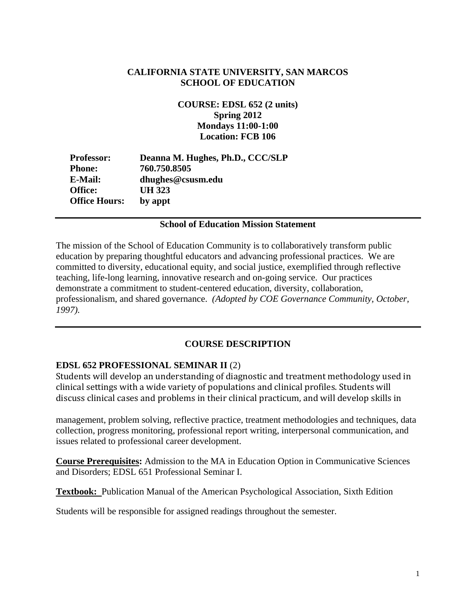## **CALIFORNIA STATE UNIVERSITY, SAN MARCOS SCHOOL OF EDUCATION**

**COURSE: EDSL 652 (2 units) Spring 2012 Mondays 11:00-1:00 Location: FCB 106** 

| <b>Professor:</b>    | Deanna M. Hughes, Ph.D., CCC/SLP |
|----------------------|----------------------------------|
| <b>Phone:</b>        | 760.750.8505                     |
| E-Mail:              | dhughes@csusm.edu                |
| Office:              | UH 323                           |
| <b>Office Hours:</b> | by appt                          |
|                      |                                  |

### **School of Education Mission Statement**

The mission of the School of Education Community is to collaboratively transform public education by preparing thoughtful educators and advancing professional practices. We are committed to diversity, educational equity, and social justice, exemplified through reflective teaching, life-long learning, innovative research and on-going service. Our practices demonstrate a commitment to student-centered education, diversity, collaboration, professionalism, and shared governance. *(Adopted by COE Governance Community, October, 1997).* 

## **COURSE DESCRIPTION**

## **EDSL 652 PROFESSIONAL SEMINAR II** (2)

Students will develop an understanding of diagnostic and treatment methodology used in clinical settings with a wide variety of populations and clinical profiles. Students will discuss clinical cases and problems in their clinical practicum, and will develop skills in

management, problem solving, reflective practice, treatment methodologies and techniques, data collection, progress monitoring, professional report writing, interpersonal communication, and issues related to professional career development.

**Course Prerequisites:** Admission to the MA in Education Option in Communicative Sciences and Disorders; EDSL 651 Professional Seminar I.

**Textbook:** Publication Manual of the American Psychological Association, Sixth Edition

Students will be responsible for assigned readings throughout the semester.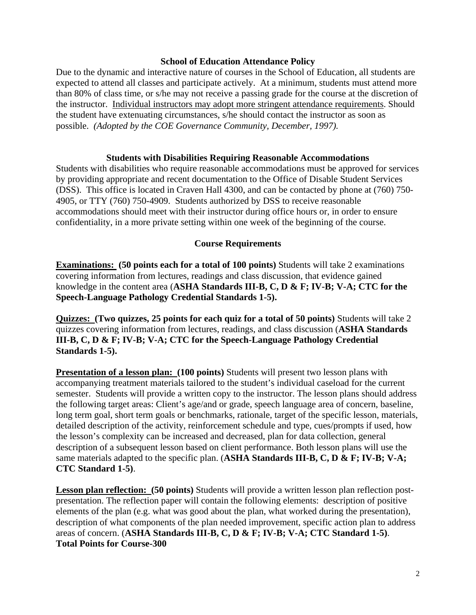### **School of Education Attendance Policy**

 possible. *(Adopted by the COE Governance Community, December, 1997).* Due to the dynamic and interactive nature of courses in the School of Education, all students are expected to attend all classes and participate actively. At a minimum, students must attend more than 80% of class time, or s/he may not receive a passing grade for the course at the discretion of the instructor. Individual instructors may adopt more stringent attendance requirements. Should the student have extenuating circumstances, s/he should contact the instructor as soon as

### **Students with Disabilities Requiring Reasonable Accommodations**

Students with disabilities who require reasonable accommodations must be approved for services by providing appropriate and recent documentation to the Office of Disable Student Services (DSS). This office is located in Craven Hall 4300, and can be contacted by phone at (760) 750- 4905, or TTY (760) 750-4909. Students authorized by DSS to receive reasonable accommodations should meet with their instructor during office hours or, in order to ensure confidentiality, in a more private setting within one week of the beginning of the course.

#### **Course Requirements**

Speech-Language Pathology Credential Standards 1-5). **Examinations: (50 points each for a total of 100 points)** Students will take 2 examinations covering information from lectures, readings and class discussion, that evidence gained knowledge in the content area (**ASHA Standards III-B, C, D & F; IV-B; V-A; CTC for the** 

Standards 1-5). **Quizzes: (Two quizzes, 25 points for each quiz for a total of 50 points)** Students will take 2 quizzes covering information from lectures, readings, and class discussion (**ASHA Standards III-B, C, D & F; IV-B; V-A; CTC for the Speech-Language Pathology Credential** 

**Presentation of a lesson plan: (100 points)** Students will present two lesson plans with accompanying treatment materials tailored to the student's individual caseload for the current semester. Students will provide a written copy to the instructor. The lesson plans should address the following target areas: Client's age/and or grade, speech language area of concern, baseline, long term goal, short term goals or benchmarks, rationale, target of the specific lesson, materials, detailed description of the activity, reinforcement schedule and type, cues/prompts if used, how the lesson's complexity can be increased and decreased, plan for data collection, general description of a subsequent lesson based on client performance. Both lesson plans will use the same materials adapted to the specific plan. (**ASHA Standards III-B, C, D & F; IV-B; V-A; CTC Standard 1-5)**.

**Lesson plan reflection: (50 points)** Students will provide a written lesson plan reflection postpresentation. The reflection paper will contain the following elements: description of positive elements of the plan (e.g. what was good about the plan, what worked during the presentation), description of what components of the plan needed improvement, specific action plan to address areas of concern. (**ASHA Standards III-B, C, D & F; IV-B; V-A; CTC Standard 1-5)**. **Total Points for Course-300**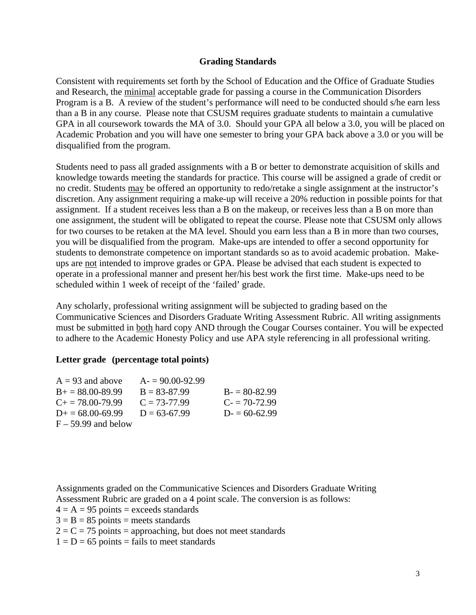#### **Grading Standards**

Consistent with requirements set forth by the School of Education and the Office of Graduate Studies and Research, the minimal acceptable grade for passing a course in the Communication Disorders Program is a B. A review of the student's performance will need to be conducted should s/he earn less than a B in any course. Please note that CSUSM requires graduate students to maintain a cumulative GPA in all coursework towards the MA of 3.0. Should your GPA all below a 3.0, you will be placed on Academic Probation and you will have one semester to bring your GPA back above a 3.0 or you will be disqualified from the program.

Students need to pass all graded assignments with a B or better to demonstrate acquisition of skills and knowledge towards meeting the standards for practice. This course will be assigned a grade of credit or no credit. Students may be offered an opportunity to redo/retake a single assignment at the instructor's discretion. Any assignment requiring a make-up will receive a 20% reduction in possible points for that assignment. If a student receives less than a B on the makeup, or receives less than a B on more than one assignment, the student will be obligated to repeat the course. Please note that CSUSM only allows for two courses to be retaken at the MA level. Should you earn less than a B in more than two courses, you will be disqualified from the program. Make-ups are intended to offer a second opportunity for students to demonstrate competence on important standards so as to avoid academic probation. Makeups are not intended to improve grades or GPA. Please be advised that each student is expected to operate in a professional manner and present her/his best work the first time. Make-ups need to be scheduled within 1 week of receipt of the 'failed' grade.

Any scholarly, professional writing assignment will be subjected to grading based on the Communicative Sciences and Disorders Graduate Writing Assessment Rubric. All writing assignments must be submitted in both hard copy AND through the Cougar Courses container. You will be expected to adhere to the Academic Honesty Policy and use APA style referencing in all professional writing.

### **Letter grade (percentage total points)**

| $A = 93$ and above        | $A = 90.00 - 92.99$ |                |
|---------------------------|---------------------|----------------|
| $B_+ = 88.00 - 89.99$     | $B = 83 - 87.99$    | $B = 80-82.99$ |
| $C_{\pm} = 78.00 - 79.99$ | $C = 73-77.99$      | $C = 70-72.99$ |
| $D_{\pm} = 68.00 - 69.99$ | $D = 63-67.99$      | $D = 60-62.99$ |
| $F - 59.99$ and below     |                     |                |

Assignments graded on the Communicative Sciences and Disorders Graduate Writing Assessment Rubric are graded on a 4 point scale. The conversion is as follows:

 $4 = A = 95$  points = exceeds standards

 $3 = B = 85$  points = meets standards

 $2 = C = 75$  points = approaching, but does not meet standards

 $1 = D = 65$  points = fails to meet standards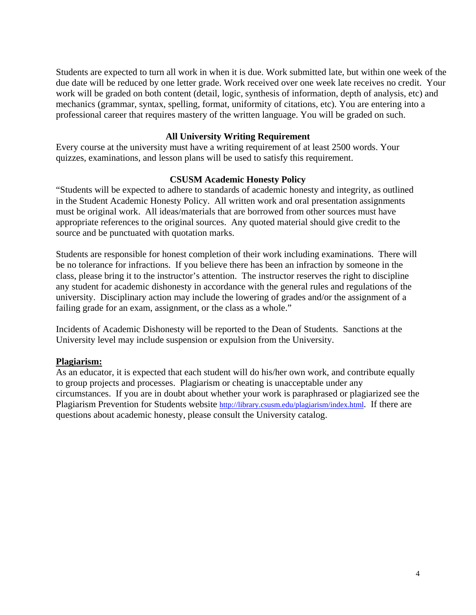Students are expected to turn all work in when it is due. Work submitted late, but within one week of the due date will be reduced by one letter grade. Work received over one week late receives no credit. Your work will be graded on both content (detail, logic, synthesis of information, depth of analysis, etc) and mechanics (grammar, syntax, spelling, format, uniformity of citations, etc). You are entering into a professional career that requires mastery of the written language. You will be graded on such.

### **All University Writing Requirement**

Every course at the university must have a writing requirement of at least 2500 words. Your quizzes, examinations, and lesson plans will be used to satisfy this requirement.

#### **CSUSM Academic Honesty Policy**

"Students will be expected to adhere to standards of academic honesty and integrity, as outlined in the Student Academic Honesty Policy. All written work and oral presentation assignments must be original work. All ideas/materials that are borrowed from other sources must have appropriate references to the original sources. Any quoted material should give credit to the source and be punctuated with quotation marks.

Students are responsible for honest completion of their work including examinations. There will be no tolerance for infractions. If you believe there has been an infraction by someone in the class, please bring it to the instructor's attention. The instructor reserves the right to discipline any student for academic dishonesty in accordance with the general rules and regulations of the university. Disciplinary action may include the lowering of grades and/or the assignment of a failing grade for an exam, assignment, or the class as a whole."

Incidents of Academic Dishonesty will be reported to the Dean of Students. Sanctions at the University level may include suspension or expulsion from the University.

#### **Plagiarism:**

As an educator, it is expected that each student will do his/her own work, and contribute equally to group projects and processes. Plagiarism or cheating is unacceptable under any circumstances. If you are in doubt about whether your work is paraphrased or plagiarized see the Plagiarism Prevention for Students website http://library.csusm.edu/plagiarism/index.html. If there are questions about academic honesty, please consult the University catalog.